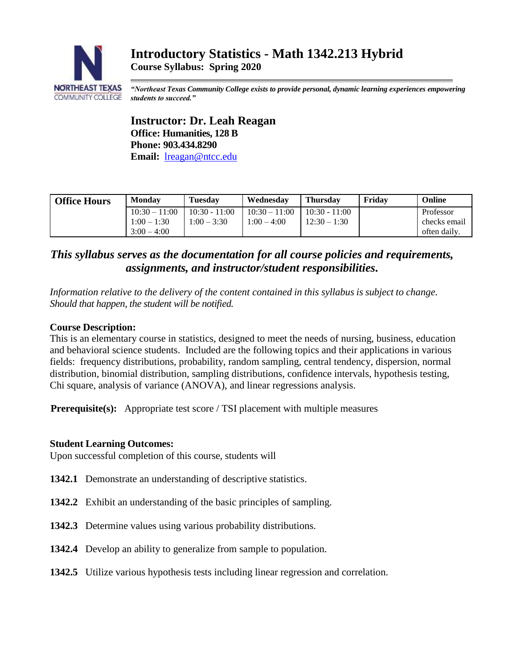

*"Northeast Texas Community College exists to provide personal, dynamic learning experiences empowering students to succeed."*

**Instructor: Dr. Leah Reagan Office: Humanities, 128 B Phone: 903.434.8290 Email:** [lreagan@ntcc.edu](mailto:lreagan@ntcc.edu)

| <b>Office Hours</b> | <b>Monday</b>   | <b>Tuesday</b>  | Wednesdav       | <b>Thursdav</b> | Fridav | Online       |
|---------------------|-----------------|-----------------|-----------------|-----------------|--------|--------------|
|                     | $10:30 - 11:00$ | $10:30 - 11:00$ | $10:30 - 11:00$ | $10:30 - 11:00$ |        | Professor    |
|                     | $1:00 - 1:30$   | $1:00 - 3:30$   | $1:00 - 4:00$   | $12:30 - 1:30$  |        | checks email |
|                     | $3:00 - 4:00$   |                 |                 |                 |        | often daily. |

# *This syllabus serves as the documentation for all course policies and requirements, assignments, and instructor/student responsibilities.*

*Information relative to the delivery of the content contained in this syllabus is subject to change. Should that happen, the student will be notified.*

## **Course Description:**

This is an elementary course in statistics, designed to meet the needs of nursing, business, education and behavioral science students. Included are the following topics and their applications in various fields: frequency distributions, probability, random sampling, central tendency, dispersion, normal distribution, binomial distribution, sampling distributions, confidence intervals, hypothesis testing, Chi square, analysis of variance (ANOVA), and linear regressions analysis.

**Prerequisite(s):** Appropriate test score / TSI placement with multiple measures

## **Student Learning Outcomes:**

Upon successful completion of this course, students will

- **1342.1** Demonstrate an understanding of descriptive statistics.
- **1342.2** Exhibit an understanding of the basic principles of sampling.
- **1342.3** Determine values using various probability distributions.
- **1342.4** Develop an ability to generalize from sample to population.
- **1342.5** Utilize various hypothesis tests including linear regression and correlation.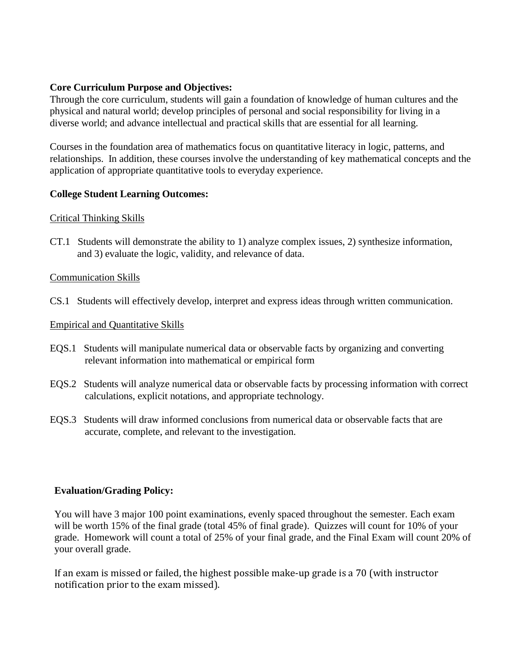## **Core Curriculum Purpose and Objectives:**

Through the core curriculum, students will gain a foundation of knowledge of human cultures and the physical and natural world; develop principles of personal and social responsibility for living in a diverse world; and advance intellectual and practical skills that are essential for all learning.

Courses in the foundation area of mathematics focus on quantitative literacy in logic, patterns, and relationships. In addition, these courses involve the understanding of key mathematical concepts and the application of appropriate quantitative tools to everyday experience.

## **College Student Learning Outcomes:**

## Critical Thinking Skills

CT.1 Students will demonstrate the ability to 1) analyze complex issues, 2) synthesize information, and 3) evaluate the logic, validity, and relevance of data.

### Communication Skills

CS.1 Students will effectively develop, interpret and express ideas through written communication.

## Empirical and Quantitative Skills

- EQS.1 Students will manipulate numerical data or observable facts by organizing and converting relevant information into mathematical or empirical form
- EQS.2 Students will analyze numerical data or observable facts by processing information with correct calculations, explicit notations, and appropriate technology.
- EQS.3 Students will draw informed conclusions from numerical data or observable facts that are accurate, complete, and relevant to the investigation.

## **Evaluation/Grading Policy:**

You will have 3 major 100 point examinations, evenly spaced throughout the semester. Each exam will be worth 15% of the final grade (total 45% of final grade). Quizzes will count for 10% of your grade. Homework will count a total of 25% of your final grade, and the Final Exam will count 20% of your overall grade.

If an exam is missed or failed, the highest possible make-up grade is a 70 (with instructor notification prior to the exam missed).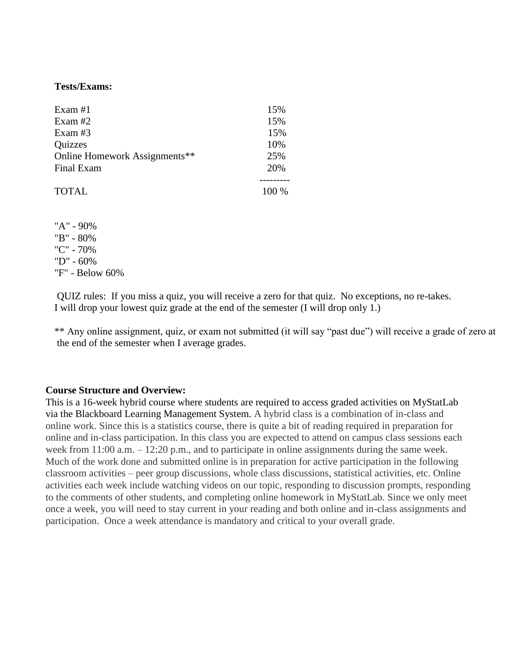#### **Tests/Exams:**

| Exam $#1$                     | 15%     |
|-------------------------------|---------|
| Exam $#2$                     | 15%     |
| Exam $#3$                     | 15%     |
| Quizzes                       | 10%     |
| Online Homework Assignments** | 25%     |
| Final Exam                    | 20%     |
|                               |         |
| <b>TOTAL</b>                  | $100\%$ |

"A" - 90% "B" - 80% "C" - 70% "D" - 60% "F" - Below 60%

QUIZ rules: If you miss a quiz, you will receive a zero for that quiz. No exceptions, no re-takes. I will drop your lowest quiz grade at the end of the semester (I will drop only 1.)

\*\* Any online assignment, quiz, or exam not submitted (it will say "past due") will receive a grade of zero at the end of the semester when I average grades.

#### **Course Structure and Overview:**

This is a 16-week hybrid course where students are required to access graded activities on MyStatLab via the Blackboard Learning Management System. A hybrid class is a combination of in-class and online work. Since this is a statistics course, there is quite a bit of reading required in preparation for online and in-class participation. In this class you are expected to attend on campus class sessions each week from 11:00 a.m. – 12:20 p.m., and to participate in online assignments during the same week. Much of the work done and submitted online is in preparation for active participation in the following classroom activities – peer group discussions, whole class discussions, statistical activities, etc. Online activities each week include watching videos on our topic, responding to discussion prompts, responding to the comments of other students, and completing online homework in MyStatLab. Since we only meet once a week, you will need to stay current in your reading and both online and in-class assignments and participation. Once a week attendance is mandatory and critical to your overall grade.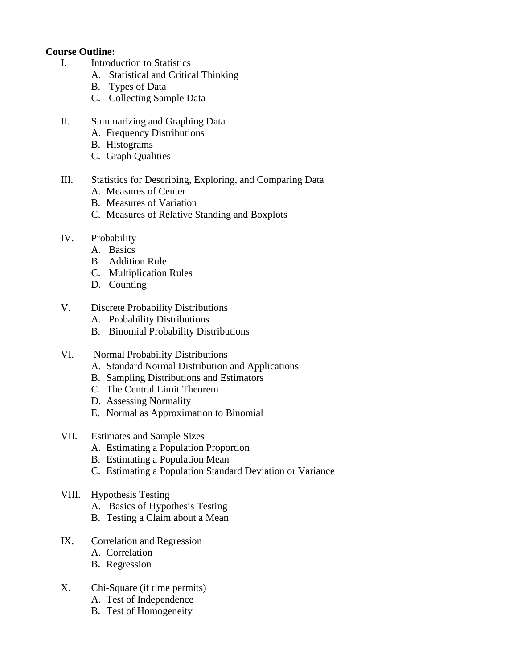## **Course Outline:**

- I. Introduction to Statistics
	- A. Statistical and Critical Thinking
	- B. Types of Data
	- C. Collecting Sample Data
- II. Summarizing and Graphing Data
	- A. Frequency Distributions
	- B. Histograms
	- C. Graph Qualities

## III. Statistics for Describing, Exploring, and Comparing Data

- A. Measures of Center
- B. Measures of Variation
- C. Measures of Relative Standing and Boxplots
- IV. Probability
	- A. Basics
	- B. Addition Rule
	- C. Multiplication Rules
	- D. Counting
- V. Discrete Probability Distributions
	- A. Probability Distributions
	- B. Binomial Probability Distributions
- VI. Normal Probability Distributions
	- A. Standard Normal Distribution and Applications
	- B. Sampling Distributions and Estimators
	- C. The Central Limit Theorem
	- D. Assessing Normality
	- E. Normal as Approximation to Binomial
- VII. Estimates and Sample Sizes
	- A. Estimating a Population Proportion
	- B. Estimating a Population Mean
	- C. Estimating a Population Standard Deviation or Variance
- VIII. Hypothesis Testing
	- A. Basics of Hypothesis Testing
	- B. Testing a Claim about a Mean
- IX. Correlation and Regression
	- A. Correlation
	- B. Regression
- X. Chi-Square (if time permits)
	- A. Test of Independence
	- B. Test of Homogeneity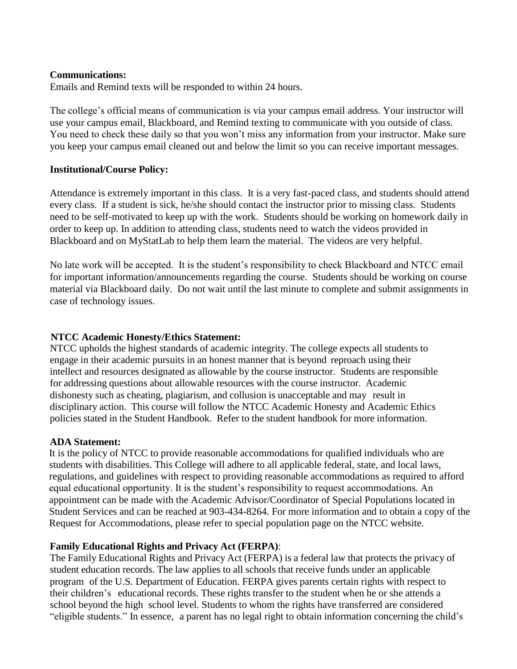## **Communications:**

Emails and Remind texts will be responded to within 24 hours.

The college's official means of communication is via your campus email address. Your instructor will use your campus email, Blackboard, and Remind texting to communicate with you outside of class. You need to check these daily so that you won't miss any information from your instructor. Make sure you keep your campus email cleaned out and below the limit so you can receive important messages.

## **Institutional/Course Policy:**

Attendance is extremely important in this class. It is a very fast-paced class, and students should attend every class. If a student is sick, he/she should contact the instructor prior to missing class. Students need to be self-motivated to keep up with the work. Students should be working on homework daily in order to keep up. In addition to attending class, students need to watch the videos provided in Blackboard and on MyStatLab to help them learn the material. The videos are very helpful.

No late work will be accepted. It is the student's responsibility to check Blackboard and NTCC email for important information/announcements regarding the course. Students should be working on course material via Blackboard daily. Do not wait until the last minute to complete and submit assignments in case of technology issues.

## **NTCC Academic Honesty/Ethics Statement:**

NTCC upholds the highest standards of academic integrity. The college expects all students to engage in their academic pursuits in an honest manner that is beyond reproach using their intellect and resources designated as allowable by the course instructor. Students are responsible for addressing questions about allowable resources with the course instructor. Academic dishonesty such as cheating, plagiarism, and collusion is unacceptable and may result in disciplinary action. This course will follow the NTCC Academic Honesty and Academic Ethics policies stated in the Student Handbook. Refer to the student handbook for more information.

## **ADA Statement:**

It is the policy of NTCC to provide reasonable accommodations for qualified individuals who are students with disabilities. This College will adhere to all applicable federal, state, and local laws, regulations, and guidelines with respect to providing reasonable accommodations as required to afford equal educational opportunity. It is the student's responsibility to request accommodations. An appointment can be made with the Academic Advisor/Coordinator of Special Populations located in Student Services and can be reached at 903-434-8264. For more information and to obtain a copy of the Request for Accommodations, please refer to special population page on the NTCC websit[e.](http://www.ntcc.edu/index.php?module=Pagesetter&func=viewpub&tid=111&pid=1) 

## **Family Educational Rights and Privacy Act (FERPA)**:

The Family Educational Rights and Privacy Act (FERPA) is a federal law that protects the privacy of student education records. The law applies to all schools that receive funds under an applicable program of the U.S. Department of Education. FERPA gives parents certain rights with respect to their children's educational records. These rights transfer to the student when he or she attends a school beyond the high school level. Students to whom the rights have transferred are considered "eligible students." In essence, a parent has no legal right to obtain information concerning the child's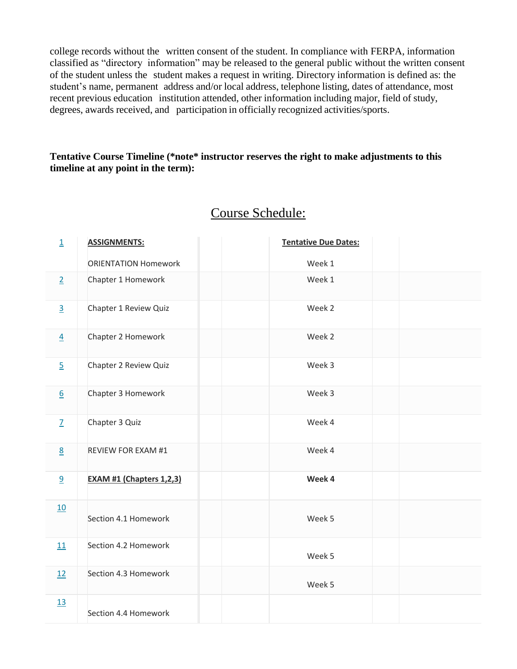college records without the written consent of the student. In compliance with FERPA, information classified as "directory information" may be released to the general public without the written consent of the student unless the student makes a request in writing. Directory information is defined as: the student's name, permanent address and/or local address, telephone listing, dates of attendance, most recent previous education institution attended, other information including major, field of study, degrees, awards received, and participation in officially recognized activities/sports.

## **Tentative Course Timeline (\*note\* instructor reserves the right to make adjustments to this timeline at any point in the term):**

| $\overline{\mathbf{1}}$ | <b>ASSIGNMENTS:</b>             | <b>Tentative Due Dates:</b> |
|-------------------------|---------------------------------|-----------------------------|
|                         | <b>ORIENTATION Homework</b>     | Week 1                      |
| $\overline{2}$          | Chapter 1 Homework              | Week 1                      |
| $\overline{3}$          | Chapter 1 Review Quiz           | Week 2                      |
| $\overline{4}$          | Chapter 2 Homework              | Week 2                      |
| $\overline{5}$          | Chapter 2 Review Quiz           | Week 3                      |
| $6 \overline{6}$        | Chapter 3 Homework              | Week 3                      |
| $\overline{Z}$          | Chapter 3 Quiz                  | Week 4                      |
| 8                       | REVIEW FOR EXAM #1              | Week 4                      |
| 9                       | <b>EXAM #1 (Chapters 1,2,3)</b> | Week 4                      |
| 10                      | Section 4.1 Homework            | Week 5                      |
| 11                      | Section 4.2 Homework            | Week 5                      |
| 12                      | Section 4.3 Homework            | Week 5                      |
| 13                      | Section 4.4 Homework            |                             |

# Course Schedule: